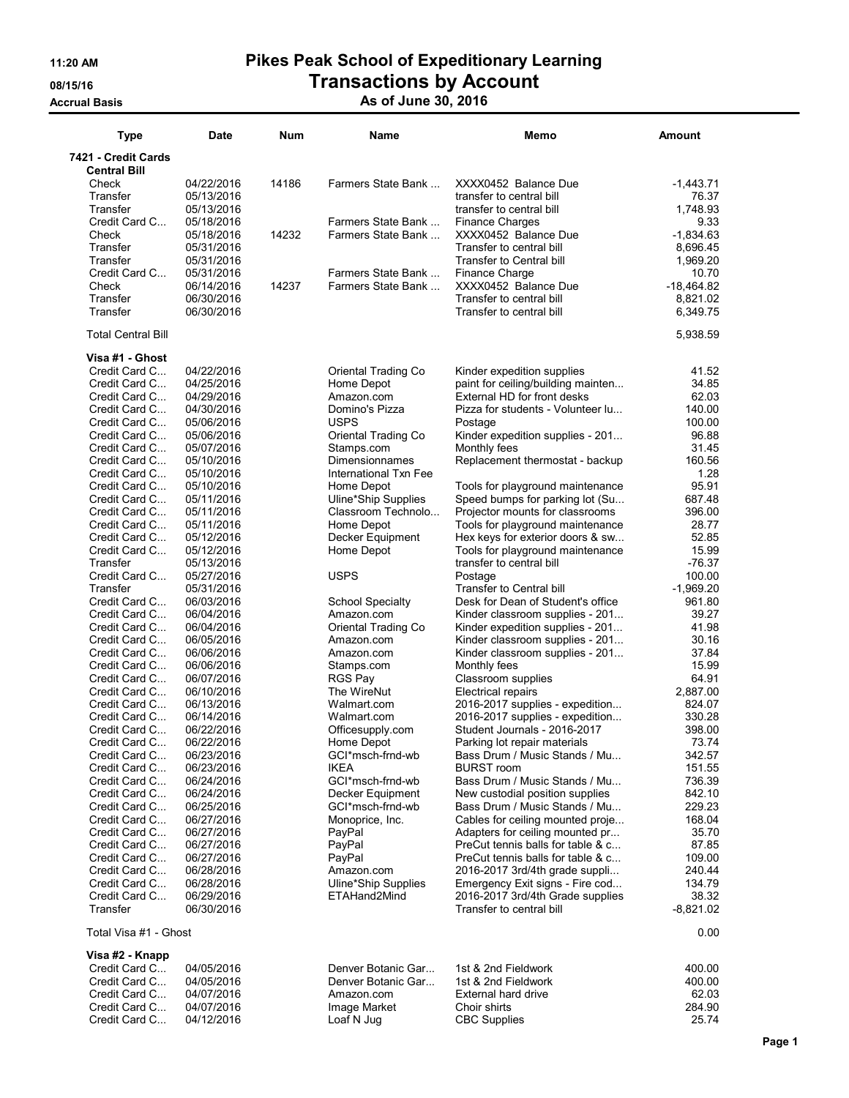## 11:20 AM Pikes Peak School of Expeditionary Learning 08/15/16 **Transactions by Account**

### Accrual Basis Associated Associates Associates Associates Associates Associates Associates Associates Associat

| 7421 - Credit Cards<br><b>Central Bill</b><br>14186<br>Check<br>04/22/2016<br>Farmers State Bank<br>XXXX0452 Balance Due<br>$-1,443.71$<br>Transfer<br>05/13/2016<br>transfer to central bill<br>76.37<br>Transfer<br>05/13/2016<br>1.748.93<br>transfer to central bill<br>Credit Card C<br>Farmers State Bank<br>9.33<br>05/18/2016<br><b>Finance Charges</b><br>14232<br>Farmers State Bank<br>XXXX0452 Balance Due<br>$-1,834.63$<br>Check<br>05/18/2016<br>Transfer to central bill<br>8,696.45<br>Transfer<br>05/31/2016<br>Transfer<br>1,969.20<br>05/31/2016<br>Transfer to Central bill<br>Credit Card C<br>Farmers State Bank<br>Finance Charge<br>05/31/2016<br>10.70<br>14237<br>Farmers State Bank<br>XXXX0452 Balance Due<br>$-18,464.82$<br>Check<br>06/14/2016<br>Transfer<br>06/30/2016<br>Transfer to central bill<br>8,821.02<br>Transfer<br>06/30/2016<br>Transfer to central bill<br>6,349.75<br><b>Total Central Bill</b><br>5,938.59<br>Visa #1 - Ghost<br>Credit Card C<br>04/22/2016<br>41.52<br>Oriental Trading Co<br>Kinder expedition supplies<br>paint for ceiling/building mainten<br>34.85<br>Credit Card C<br>04/25/2016<br>Home Depot<br>External HD for front desks<br>62.03<br>Credit Card C<br>04/29/2016<br>Amazon.com<br>04/30/2016<br>140.00<br>Credit Card C<br>Domino's Pizza<br>Pizza for students - Volunteer lu<br><b>USPS</b><br>100.00<br>Credit Card C<br>05/06/2016<br>Postage<br>Kinder expedition supplies - 201<br>96.88<br>Credit Card C<br>05/06/2016<br>Oriental Trading Co<br>31.45<br>Credit Card C<br>05/07/2016<br>Stamps.com<br>Monthly fees<br>Dimensionnames<br>160.56<br>Credit Card C<br>05/10/2016<br>Replacement thermostat - backup<br>Credit Card C<br>05/10/2016<br>International Txn Fee<br>1.28<br>Credit Card C<br>95.91<br>05/10/2016<br>Home Depot<br>Tools for playground maintenance<br>Credit Card C<br>05/11/2016<br>Uline*Ship Supplies<br>Speed bumps for parking lot (Su<br>687.48<br>Credit Card C<br>05/11/2016<br>Classroom Technolo<br>Projector mounts for classrooms<br>396.00<br>Home Depot<br>Tools for playground maintenance<br>28.77<br>Credit Card C<br>05/11/2016<br>52.85<br>Credit Card C<br>05/12/2016<br>Decker Equipment<br>Hex keys for exterior doors & sw<br>15.99<br>Credit Card C<br>05/12/2016<br>Home Depot<br>Tools for playground maintenance<br>$-76.37$<br>transfer to central bill<br>Transfer<br>05/13/2016<br>Credit Card C<br><b>USPS</b><br>100.00<br>05/27/2016<br>Postage<br><b>Transfer to Central bill</b><br>$-1,969.20$<br>Transfer<br>05/31/2016<br><b>School Specialty</b><br>961.80<br>Credit Card C<br>06/03/2016<br>Desk for Dean of Student's office<br>06/04/2016<br>Kinder classroom supplies - 201<br>39.27<br>Credit Card C<br>Amazon.com<br>Kinder expedition supplies - 201<br>41.98<br>Credit Card C<br>06/04/2016<br>Oriental Trading Co<br>Credit Card C<br>06/05/2016<br>Kinder classroom supplies - 201<br>30.16<br>Amazon.com<br>37.84<br>Credit Card C<br>06/06/2016<br>Kinder classroom supplies - 201<br>Amazon.com<br>15.99<br>06/06/2016<br>Credit Card C<br>Monthly fees<br>Stamps.com<br>64.91<br>Credit Card C<br>06/07/2016<br>Classroom supplies<br><b>RGS Pay</b><br>Credit Card C<br>06/10/2016<br>The WireNut<br>Electrical repairs<br>2,887.00<br>2016-2017 supplies - expedition<br>824.07<br>Credit Card C<br>06/13/2016<br>Walmart.com<br>Credit Card C<br>06/14/2016<br>2016-2017 supplies - expedition<br>330.28<br>Walmart.com<br>06/22/2016<br>398.00<br>Credit Card C<br>Student Journals - 2016-2017<br>Officesupply.com<br>06/22/2016<br>Credit Card C<br>73.74<br>Home Depot<br>Parking lot repair materials<br>GCI*msch-frnd-wb<br>Bass Drum / Music Stands / Mu<br>Credit Card C<br>06/23/2016<br>342.57<br><b>IKEA</b><br><b>BURST</b> room<br>151.55<br>Credit Card C<br>06/23/2016<br>GCI*msch-frnd-wb<br>Bass Drum / Music Stands / Mu<br>736.39<br>Credit Card C<br>06/24/2016<br>Credit Card C<br>06/24/2016<br>Decker Equipment<br>New custodial position supplies<br>842.10<br>GCI*msch-frnd-wb<br>Bass Drum / Music Stands / Mu<br>229.23<br>Credit Card C<br>06/25/2016<br>Credit Card C<br>06/27/2016<br>Monoprice, Inc.<br>Cables for ceiling mounted proje<br>168.04<br>35.70<br>Credit Card C<br>06/27/2016<br>PayPal<br>Adapters for ceiling mounted pr<br>PreCut tennis balls for table & c<br>87.85<br>Credit Card C<br>06/27/2016<br>PayPal<br>Credit Card C<br>PayPal<br>PreCut tennis balls for table & c<br>109.00<br>06/27/2016<br>Credit Card C<br>06/28/2016<br>2016-2017 3rd/4th grade suppli<br>240.44<br>Amazon.com<br>Credit Card C<br>06/28/2016<br>Uline*Ship Supplies<br>Emergency Exit signs - Fire cod<br>134.79<br>Credit Card C<br>ETAHand2Mind<br>2016-2017 3rd/4th Grade supplies<br>38.32<br>06/29/2016<br>Transfer<br>06/30/2016<br>Transfer to central bill<br>$-8,821.02$<br>Total Visa #1 - Ghost<br>0.00<br>Visa #2 - Knapp<br>Credit Card C<br>Denver Botanic Gar<br>1st & 2nd Fieldwork<br>400.00<br>04/05/2016<br>Credit Card C<br>1st & 2nd Fieldwork<br>400.00<br>04/05/2016<br>Denver Botanic Gar<br>Credit Card C<br><b>External hard drive</b><br>62.03<br>04/07/2016<br>Amazon.com<br>04/07/2016<br>Choir shirts<br>284.90<br>Credit Card C<br>Image Market<br>25.74<br>04/12/2016<br>Loaf N Jug<br><b>CBC Supplies</b><br>Credit Card C | <b>Type</b> | <b>Date</b> | Num | Name | Memo | Amount |
|--------------------------------------------------------------------------------------------------------------------------------------------------------------------------------------------------------------------------------------------------------------------------------------------------------------------------------------------------------------------------------------------------------------------------------------------------------------------------------------------------------------------------------------------------------------------------------------------------------------------------------------------------------------------------------------------------------------------------------------------------------------------------------------------------------------------------------------------------------------------------------------------------------------------------------------------------------------------------------------------------------------------------------------------------------------------------------------------------------------------------------------------------------------------------------------------------------------------------------------------------------------------------------------------------------------------------------------------------------------------------------------------------------------------------------------------------------------------------------------------------------------------------------------------------------------------------------------------------------------------------------------------------------------------------------------------------------------------------------------------------------------------------------------------------------------------------------------------------------------------------------------------------------------------------------------------------------------------------------------------------------------------------------------------------------------------------------------------------------------------------------------------------------------------------------------------------------------------------------------------------------------------------------------------------------------------------------------------------------------------------------------------------------------------------------------------------------------------------------------------------------------------------------------------------------------------------------------------------------------------------------------------------------------------------------------------------------------------------------------------------------------------------------------------------------------------------------------------------------------------------------------------------------------------------------------------------------------------------------------------------------------------------------------------------------------------------------------------------------------------------------------------------------------------------------------------------------------------------------------------------------------------------------------------------------------------------------------------------------------------------------------------------------------------------------------------------------------------------------------------------------------------------------------------------------------------------------------------------------------------------------------------------------------------------------------------------------------------------------------------------------------------------------------------------------------------------------------------------------------------------------------------------------------------------------------------------------------------------------------------------------------------------------------------------------------------------------------------------------------------------------------------------------------------------------------------------------------------------------------------------------------------------------------------------------------------------------------------------------------------------------------------------------------------------------------------------------------------------------------------------------------------------------------------------------------------------------------------------------------------------------------------------------------------------------------------------------------------------------------------------------------------------------------------------------------------------------------------------------------------------------------------------------------------------------------------------------------------------------------------------------------------------------------------------------------------------------------------------------------------------------------------------------------------------------------------------------------------------------------------------------------------------------------------------------------------------------------------------------------------|-------------|-------------|-----|------|------|--------|
|                                                                                                                                                                                                                                                                                                                                                                                                                                                                                                                                                                                                                                                                                                                                                                                                                                                                                                                                                                                                                                                                                                                                                                                                                                                                                                                                                                                                                                                                                                                                                                                                                                                                                                                                                                                                                                                                                                                                                                                                                                                                                                                                                                                                                                                                                                                                                                                                                                                                                                                                                                                                                                                                                                                                                                                                                                                                                                                                                                                                                                                                                                                                                                                                                                                                                                                                                                                                                                                                                                                                                                                                                                                                                                                                                                                                                                                                                                                                                                                                                                                                                                                                                                                                                                                                                                                                                                                                                                                                                                                                                                                                                                                                                                                                                                                                                                                                                                                                                                                                                                                                                                                                                                                                                                                                                                                                                                    |             |             |     |      |      |        |
|                                                                                                                                                                                                                                                                                                                                                                                                                                                                                                                                                                                                                                                                                                                                                                                                                                                                                                                                                                                                                                                                                                                                                                                                                                                                                                                                                                                                                                                                                                                                                                                                                                                                                                                                                                                                                                                                                                                                                                                                                                                                                                                                                                                                                                                                                                                                                                                                                                                                                                                                                                                                                                                                                                                                                                                                                                                                                                                                                                                                                                                                                                                                                                                                                                                                                                                                                                                                                                                                                                                                                                                                                                                                                                                                                                                                                                                                                                                                                                                                                                                                                                                                                                                                                                                                                                                                                                                                                                                                                                                                                                                                                                                                                                                                                                                                                                                                                                                                                                                                                                                                                                                                                                                                                                                                                                                                                                    |             |             |     |      |      |        |
|                                                                                                                                                                                                                                                                                                                                                                                                                                                                                                                                                                                                                                                                                                                                                                                                                                                                                                                                                                                                                                                                                                                                                                                                                                                                                                                                                                                                                                                                                                                                                                                                                                                                                                                                                                                                                                                                                                                                                                                                                                                                                                                                                                                                                                                                                                                                                                                                                                                                                                                                                                                                                                                                                                                                                                                                                                                                                                                                                                                                                                                                                                                                                                                                                                                                                                                                                                                                                                                                                                                                                                                                                                                                                                                                                                                                                                                                                                                                                                                                                                                                                                                                                                                                                                                                                                                                                                                                                                                                                                                                                                                                                                                                                                                                                                                                                                                                                                                                                                                                                                                                                                                                                                                                                                                                                                                                                                    |             |             |     |      |      |        |
|                                                                                                                                                                                                                                                                                                                                                                                                                                                                                                                                                                                                                                                                                                                                                                                                                                                                                                                                                                                                                                                                                                                                                                                                                                                                                                                                                                                                                                                                                                                                                                                                                                                                                                                                                                                                                                                                                                                                                                                                                                                                                                                                                                                                                                                                                                                                                                                                                                                                                                                                                                                                                                                                                                                                                                                                                                                                                                                                                                                                                                                                                                                                                                                                                                                                                                                                                                                                                                                                                                                                                                                                                                                                                                                                                                                                                                                                                                                                                                                                                                                                                                                                                                                                                                                                                                                                                                                                                                                                                                                                                                                                                                                                                                                                                                                                                                                                                                                                                                                                                                                                                                                                                                                                                                                                                                                                                                    |             |             |     |      |      |        |
|                                                                                                                                                                                                                                                                                                                                                                                                                                                                                                                                                                                                                                                                                                                                                                                                                                                                                                                                                                                                                                                                                                                                                                                                                                                                                                                                                                                                                                                                                                                                                                                                                                                                                                                                                                                                                                                                                                                                                                                                                                                                                                                                                                                                                                                                                                                                                                                                                                                                                                                                                                                                                                                                                                                                                                                                                                                                                                                                                                                                                                                                                                                                                                                                                                                                                                                                                                                                                                                                                                                                                                                                                                                                                                                                                                                                                                                                                                                                                                                                                                                                                                                                                                                                                                                                                                                                                                                                                                                                                                                                                                                                                                                                                                                                                                                                                                                                                                                                                                                                                                                                                                                                                                                                                                                                                                                                                                    |             |             |     |      |      |        |
|                                                                                                                                                                                                                                                                                                                                                                                                                                                                                                                                                                                                                                                                                                                                                                                                                                                                                                                                                                                                                                                                                                                                                                                                                                                                                                                                                                                                                                                                                                                                                                                                                                                                                                                                                                                                                                                                                                                                                                                                                                                                                                                                                                                                                                                                                                                                                                                                                                                                                                                                                                                                                                                                                                                                                                                                                                                                                                                                                                                                                                                                                                                                                                                                                                                                                                                                                                                                                                                                                                                                                                                                                                                                                                                                                                                                                                                                                                                                                                                                                                                                                                                                                                                                                                                                                                                                                                                                                                                                                                                                                                                                                                                                                                                                                                                                                                                                                                                                                                                                                                                                                                                                                                                                                                                                                                                                                                    |             |             |     |      |      |        |
|                                                                                                                                                                                                                                                                                                                                                                                                                                                                                                                                                                                                                                                                                                                                                                                                                                                                                                                                                                                                                                                                                                                                                                                                                                                                                                                                                                                                                                                                                                                                                                                                                                                                                                                                                                                                                                                                                                                                                                                                                                                                                                                                                                                                                                                                                                                                                                                                                                                                                                                                                                                                                                                                                                                                                                                                                                                                                                                                                                                                                                                                                                                                                                                                                                                                                                                                                                                                                                                                                                                                                                                                                                                                                                                                                                                                                                                                                                                                                                                                                                                                                                                                                                                                                                                                                                                                                                                                                                                                                                                                                                                                                                                                                                                                                                                                                                                                                                                                                                                                                                                                                                                                                                                                                                                                                                                                                                    |             |             |     |      |      |        |
|                                                                                                                                                                                                                                                                                                                                                                                                                                                                                                                                                                                                                                                                                                                                                                                                                                                                                                                                                                                                                                                                                                                                                                                                                                                                                                                                                                                                                                                                                                                                                                                                                                                                                                                                                                                                                                                                                                                                                                                                                                                                                                                                                                                                                                                                                                                                                                                                                                                                                                                                                                                                                                                                                                                                                                                                                                                                                                                                                                                                                                                                                                                                                                                                                                                                                                                                                                                                                                                                                                                                                                                                                                                                                                                                                                                                                                                                                                                                                                                                                                                                                                                                                                                                                                                                                                                                                                                                                                                                                                                                                                                                                                                                                                                                                                                                                                                                                                                                                                                                                                                                                                                                                                                                                                                                                                                                                                    |             |             |     |      |      |        |
|                                                                                                                                                                                                                                                                                                                                                                                                                                                                                                                                                                                                                                                                                                                                                                                                                                                                                                                                                                                                                                                                                                                                                                                                                                                                                                                                                                                                                                                                                                                                                                                                                                                                                                                                                                                                                                                                                                                                                                                                                                                                                                                                                                                                                                                                                                                                                                                                                                                                                                                                                                                                                                                                                                                                                                                                                                                                                                                                                                                                                                                                                                                                                                                                                                                                                                                                                                                                                                                                                                                                                                                                                                                                                                                                                                                                                                                                                                                                                                                                                                                                                                                                                                                                                                                                                                                                                                                                                                                                                                                                                                                                                                                                                                                                                                                                                                                                                                                                                                                                                                                                                                                                                                                                                                                                                                                                                                    |             |             |     |      |      |        |
|                                                                                                                                                                                                                                                                                                                                                                                                                                                                                                                                                                                                                                                                                                                                                                                                                                                                                                                                                                                                                                                                                                                                                                                                                                                                                                                                                                                                                                                                                                                                                                                                                                                                                                                                                                                                                                                                                                                                                                                                                                                                                                                                                                                                                                                                                                                                                                                                                                                                                                                                                                                                                                                                                                                                                                                                                                                                                                                                                                                                                                                                                                                                                                                                                                                                                                                                                                                                                                                                                                                                                                                                                                                                                                                                                                                                                                                                                                                                                                                                                                                                                                                                                                                                                                                                                                                                                                                                                                                                                                                                                                                                                                                                                                                                                                                                                                                                                                                                                                                                                                                                                                                                                                                                                                                                                                                                                                    |             |             |     |      |      |        |
|                                                                                                                                                                                                                                                                                                                                                                                                                                                                                                                                                                                                                                                                                                                                                                                                                                                                                                                                                                                                                                                                                                                                                                                                                                                                                                                                                                                                                                                                                                                                                                                                                                                                                                                                                                                                                                                                                                                                                                                                                                                                                                                                                                                                                                                                                                                                                                                                                                                                                                                                                                                                                                                                                                                                                                                                                                                                                                                                                                                                                                                                                                                                                                                                                                                                                                                                                                                                                                                                                                                                                                                                                                                                                                                                                                                                                                                                                                                                                                                                                                                                                                                                                                                                                                                                                                                                                                                                                                                                                                                                                                                                                                                                                                                                                                                                                                                                                                                                                                                                                                                                                                                                                                                                                                                                                                                                                                    |             |             |     |      |      |        |
|                                                                                                                                                                                                                                                                                                                                                                                                                                                                                                                                                                                                                                                                                                                                                                                                                                                                                                                                                                                                                                                                                                                                                                                                                                                                                                                                                                                                                                                                                                                                                                                                                                                                                                                                                                                                                                                                                                                                                                                                                                                                                                                                                                                                                                                                                                                                                                                                                                                                                                                                                                                                                                                                                                                                                                                                                                                                                                                                                                                                                                                                                                                                                                                                                                                                                                                                                                                                                                                                                                                                                                                                                                                                                                                                                                                                                                                                                                                                                                                                                                                                                                                                                                                                                                                                                                                                                                                                                                                                                                                                                                                                                                                                                                                                                                                                                                                                                                                                                                                                                                                                                                                                                                                                                                                                                                                                                                    |             |             |     |      |      |        |
|                                                                                                                                                                                                                                                                                                                                                                                                                                                                                                                                                                                                                                                                                                                                                                                                                                                                                                                                                                                                                                                                                                                                                                                                                                                                                                                                                                                                                                                                                                                                                                                                                                                                                                                                                                                                                                                                                                                                                                                                                                                                                                                                                                                                                                                                                                                                                                                                                                                                                                                                                                                                                                                                                                                                                                                                                                                                                                                                                                                                                                                                                                                                                                                                                                                                                                                                                                                                                                                                                                                                                                                                                                                                                                                                                                                                                                                                                                                                                                                                                                                                                                                                                                                                                                                                                                                                                                                                                                                                                                                                                                                                                                                                                                                                                                                                                                                                                                                                                                                                                                                                                                                                                                                                                                                                                                                                                                    |             |             |     |      |      |        |
|                                                                                                                                                                                                                                                                                                                                                                                                                                                                                                                                                                                                                                                                                                                                                                                                                                                                                                                                                                                                                                                                                                                                                                                                                                                                                                                                                                                                                                                                                                                                                                                                                                                                                                                                                                                                                                                                                                                                                                                                                                                                                                                                                                                                                                                                                                                                                                                                                                                                                                                                                                                                                                                                                                                                                                                                                                                                                                                                                                                                                                                                                                                                                                                                                                                                                                                                                                                                                                                                                                                                                                                                                                                                                                                                                                                                                                                                                                                                                                                                                                                                                                                                                                                                                                                                                                                                                                                                                                                                                                                                                                                                                                                                                                                                                                                                                                                                                                                                                                                                                                                                                                                                                                                                                                                                                                                                                                    |             |             |     |      |      |        |
|                                                                                                                                                                                                                                                                                                                                                                                                                                                                                                                                                                                                                                                                                                                                                                                                                                                                                                                                                                                                                                                                                                                                                                                                                                                                                                                                                                                                                                                                                                                                                                                                                                                                                                                                                                                                                                                                                                                                                                                                                                                                                                                                                                                                                                                                                                                                                                                                                                                                                                                                                                                                                                                                                                                                                                                                                                                                                                                                                                                                                                                                                                                                                                                                                                                                                                                                                                                                                                                                                                                                                                                                                                                                                                                                                                                                                                                                                                                                                                                                                                                                                                                                                                                                                                                                                                                                                                                                                                                                                                                                                                                                                                                                                                                                                                                                                                                                                                                                                                                                                                                                                                                                                                                                                                                                                                                                                                    |             |             |     |      |      |        |
|                                                                                                                                                                                                                                                                                                                                                                                                                                                                                                                                                                                                                                                                                                                                                                                                                                                                                                                                                                                                                                                                                                                                                                                                                                                                                                                                                                                                                                                                                                                                                                                                                                                                                                                                                                                                                                                                                                                                                                                                                                                                                                                                                                                                                                                                                                                                                                                                                                                                                                                                                                                                                                                                                                                                                                                                                                                                                                                                                                                                                                                                                                                                                                                                                                                                                                                                                                                                                                                                                                                                                                                                                                                                                                                                                                                                                                                                                                                                                                                                                                                                                                                                                                                                                                                                                                                                                                                                                                                                                                                                                                                                                                                                                                                                                                                                                                                                                                                                                                                                                                                                                                                                                                                                                                                                                                                                                                    |             |             |     |      |      |        |
|                                                                                                                                                                                                                                                                                                                                                                                                                                                                                                                                                                                                                                                                                                                                                                                                                                                                                                                                                                                                                                                                                                                                                                                                                                                                                                                                                                                                                                                                                                                                                                                                                                                                                                                                                                                                                                                                                                                                                                                                                                                                                                                                                                                                                                                                                                                                                                                                                                                                                                                                                                                                                                                                                                                                                                                                                                                                                                                                                                                                                                                                                                                                                                                                                                                                                                                                                                                                                                                                                                                                                                                                                                                                                                                                                                                                                                                                                                                                                                                                                                                                                                                                                                                                                                                                                                                                                                                                                                                                                                                                                                                                                                                                                                                                                                                                                                                                                                                                                                                                                                                                                                                                                                                                                                                                                                                                                                    |             |             |     |      |      |        |
|                                                                                                                                                                                                                                                                                                                                                                                                                                                                                                                                                                                                                                                                                                                                                                                                                                                                                                                                                                                                                                                                                                                                                                                                                                                                                                                                                                                                                                                                                                                                                                                                                                                                                                                                                                                                                                                                                                                                                                                                                                                                                                                                                                                                                                                                                                                                                                                                                                                                                                                                                                                                                                                                                                                                                                                                                                                                                                                                                                                                                                                                                                                                                                                                                                                                                                                                                                                                                                                                                                                                                                                                                                                                                                                                                                                                                                                                                                                                                                                                                                                                                                                                                                                                                                                                                                                                                                                                                                                                                                                                                                                                                                                                                                                                                                                                                                                                                                                                                                                                                                                                                                                                                                                                                                                                                                                                                                    |             |             |     |      |      |        |
|                                                                                                                                                                                                                                                                                                                                                                                                                                                                                                                                                                                                                                                                                                                                                                                                                                                                                                                                                                                                                                                                                                                                                                                                                                                                                                                                                                                                                                                                                                                                                                                                                                                                                                                                                                                                                                                                                                                                                                                                                                                                                                                                                                                                                                                                                                                                                                                                                                                                                                                                                                                                                                                                                                                                                                                                                                                                                                                                                                                                                                                                                                                                                                                                                                                                                                                                                                                                                                                                                                                                                                                                                                                                                                                                                                                                                                                                                                                                                                                                                                                                                                                                                                                                                                                                                                                                                                                                                                                                                                                                                                                                                                                                                                                                                                                                                                                                                                                                                                                                                                                                                                                                                                                                                                                                                                                                                                    |             |             |     |      |      |        |
|                                                                                                                                                                                                                                                                                                                                                                                                                                                                                                                                                                                                                                                                                                                                                                                                                                                                                                                                                                                                                                                                                                                                                                                                                                                                                                                                                                                                                                                                                                                                                                                                                                                                                                                                                                                                                                                                                                                                                                                                                                                                                                                                                                                                                                                                                                                                                                                                                                                                                                                                                                                                                                                                                                                                                                                                                                                                                                                                                                                                                                                                                                                                                                                                                                                                                                                                                                                                                                                                                                                                                                                                                                                                                                                                                                                                                                                                                                                                                                                                                                                                                                                                                                                                                                                                                                                                                                                                                                                                                                                                                                                                                                                                                                                                                                                                                                                                                                                                                                                                                                                                                                                                                                                                                                                                                                                                                                    |             |             |     |      |      |        |
|                                                                                                                                                                                                                                                                                                                                                                                                                                                                                                                                                                                                                                                                                                                                                                                                                                                                                                                                                                                                                                                                                                                                                                                                                                                                                                                                                                                                                                                                                                                                                                                                                                                                                                                                                                                                                                                                                                                                                                                                                                                                                                                                                                                                                                                                                                                                                                                                                                                                                                                                                                                                                                                                                                                                                                                                                                                                                                                                                                                                                                                                                                                                                                                                                                                                                                                                                                                                                                                                                                                                                                                                                                                                                                                                                                                                                                                                                                                                                                                                                                                                                                                                                                                                                                                                                                                                                                                                                                                                                                                                                                                                                                                                                                                                                                                                                                                                                                                                                                                                                                                                                                                                                                                                                                                                                                                                                                    |             |             |     |      |      |        |
|                                                                                                                                                                                                                                                                                                                                                                                                                                                                                                                                                                                                                                                                                                                                                                                                                                                                                                                                                                                                                                                                                                                                                                                                                                                                                                                                                                                                                                                                                                                                                                                                                                                                                                                                                                                                                                                                                                                                                                                                                                                                                                                                                                                                                                                                                                                                                                                                                                                                                                                                                                                                                                                                                                                                                                                                                                                                                                                                                                                                                                                                                                                                                                                                                                                                                                                                                                                                                                                                                                                                                                                                                                                                                                                                                                                                                                                                                                                                                                                                                                                                                                                                                                                                                                                                                                                                                                                                                                                                                                                                                                                                                                                                                                                                                                                                                                                                                                                                                                                                                                                                                                                                                                                                                                                                                                                                                                    |             |             |     |      |      |        |
|                                                                                                                                                                                                                                                                                                                                                                                                                                                                                                                                                                                                                                                                                                                                                                                                                                                                                                                                                                                                                                                                                                                                                                                                                                                                                                                                                                                                                                                                                                                                                                                                                                                                                                                                                                                                                                                                                                                                                                                                                                                                                                                                                                                                                                                                                                                                                                                                                                                                                                                                                                                                                                                                                                                                                                                                                                                                                                                                                                                                                                                                                                                                                                                                                                                                                                                                                                                                                                                                                                                                                                                                                                                                                                                                                                                                                                                                                                                                                                                                                                                                                                                                                                                                                                                                                                                                                                                                                                                                                                                                                                                                                                                                                                                                                                                                                                                                                                                                                                                                                                                                                                                                                                                                                                                                                                                                                                    |             |             |     |      |      |        |
|                                                                                                                                                                                                                                                                                                                                                                                                                                                                                                                                                                                                                                                                                                                                                                                                                                                                                                                                                                                                                                                                                                                                                                                                                                                                                                                                                                                                                                                                                                                                                                                                                                                                                                                                                                                                                                                                                                                                                                                                                                                                                                                                                                                                                                                                                                                                                                                                                                                                                                                                                                                                                                                                                                                                                                                                                                                                                                                                                                                                                                                                                                                                                                                                                                                                                                                                                                                                                                                                                                                                                                                                                                                                                                                                                                                                                                                                                                                                                                                                                                                                                                                                                                                                                                                                                                                                                                                                                                                                                                                                                                                                                                                                                                                                                                                                                                                                                                                                                                                                                                                                                                                                                                                                                                                                                                                                                                    |             |             |     |      |      |        |
|                                                                                                                                                                                                                                                                                                                                                                                                                                                                                                                                                                                                                                                                                                                                                                                                                                                                                                                                                                                                                                                                                                                                                                                                                                                                                                                                                                                                                                                                                                                                                                                                                                                                                                                                                                                                                                                                                                                                                                                                                                                                                                                                                                                                                                                                                                                                                                                                                                                                                                                                                                                                                                                                                                                                                                                                                                                                                                                                                                                                                                                                                                                                                                                                                                                                                                                                                                                                                                                                                                                                                                                                                                                                                                                                                                                                                                                                                                                                                                                                                                                                                                                                                                                                                                                                                                                                                                                                                                                                                                                                                                                                                                                                                                                                                                                                                                                                                                                                                                                                                                                                                                                                                                                                                                                                                                                                                                    |             |             |     |      |      |        |
|                                                                                                                                                                                                                                                                                                                                                                                                                                                                                                                                                                                                                                                                                                                                                                                                                                                                                                                                                                                                                                                                                                                                                                                                                                                                                                                                                                                                                                                                                                                                                                                                                                                                                                                                                                                                                                                                                                                                                                                                                                                                                                                                                                                                                                                                                                                                                                                                                                                                                                                                                                                                                                                                                                                                                                                                                                                                                                                                                                                                                                                                                                                                                                                                                                                                                                                                                                                                                                                                                                                                                                                                                                                                                                                                                                                                                                                                                                                                                                                                                                                                                                                                                                                                                                                                                                                                                                                                                                                                                                                                                                                                                                                                                                                                                                                                                                                                                                                                                                                                                                                                                                                                                                                                                                                                                                                                                                    |             |             |     |      |      |        |
|                                                                                                                                                                                                                                                                                                                                                                                                                                                                                                                                                                                                                                                                                                                                                                                                                                                                                                                                                                                                                                                                                                                                                                                                                                                                                                                                                                                                                                                                                                                                                                                                                                                                                                                                                                                                                                                                                                                                                                                                                                                                                                                                                                                                                                                                                                                                                                                                                                                                                                                                                                                                                                                                                                                                                                                                                                                                                                                                                                                                                                                                                                                                                                                                                                                                                                                                                                                                                                                                                                                                                                                                                                                                                                                                                                                                                                                                                                                                                                                                                                                                                                                                                                                                                                                                                                                                                                                                                                                                                                                                                                                                                                                                                                                                                                                                                                                                                                                                                                                                                                                                                                                                                                                                                                                                                                                                                                    |             |             |     |      |      |        |
|                                                                                                                                                                                                                                                                                                                                                                                                                                                                                                                                                                                                                                                                                                                                                                                                                                                                                                                                                                                                                                                                                                                                                                                                                                                                                                                                                                                                                                                                                                                                                                                                                                                                                                                                                                                                                                                                                                                                                                                                                                                                                                                                                                                                                                                                                                                                                                                                                                                                                                                                                                                                                                                                                                                                                                                                                                                                                                                                                                                                                                                                                                                                                                                                                                                                                                                                                                                                                                                                                                                                                                                                                                                                                                                                                                                                                                                                                                                                                                                                                                                                                                                                                                                                                                                                                                                                                                                                                                                                                                                                                                                                                                                                                                                                                                                                                                                                                                                                                                                                                                                                                                                                                                                                                                                                                                                                                                    |             |             |     |      |      |        |
|                                                                                                                                                                                                                                                                                                                                                                                                                                                                                                                                                                                                                                                                                                                                                                                                                                                                                                                                                                                                                                                                                                                                                                                                                                                                                                                                                                                                                                                                                                                                                                                                                                                                                                                                                                                                                                                                                                                                                                                                                                                                                                                                                                                                                                                                                                                                                                                                                                                                                                                                                                                                                                                                                                                                                                                                                                                                                                                                                                                                                                                                                                                                                                                                                                                                                                                                                                                                                                                                                                                                                                                                                                                                                                                                                                                                                                                                                                                                                                                                                                                                                                                                                                                                                                                                                                                                                                                                                                                                                                                                                                                                                                                                                                                                                                                                                                                                                                                                                                                                                                                                                                                                                                                                                                                                                                                                                                    |             |             |     |      |      |        |
|                                                                                                                                                                                                                                                                                                                                                                                                                                                                                                                                                                                                                                                                                                                                                                                                                                                                                                                                                                                                                                                                                                                                                                                                                                                                                                                                                                                                                                                                                                                                                                                                                                                                                                                                                                                                                                                                                                                                                                                                                                                                                                                                                                                                                                                                                                                                                                                                                                                                                                                                                                                                                                                                                                                                                                                                                                                                                                                                                                                                                                                                                                                                                                                                                                                                                                                                                                                                                                                                                                                                                                                                                                                                                                                                                                                                                                                                                                                                                                                                                                                                                                                                                                                                                                                                                                                                                                                                                                                                                                                                                                                                                                                                                                                                                                                                                                                                                                                                                                                                                                                                                                                                                                                                                                                                                                                                                                    |             |             |     |      |      |        |
|                                                                                                                                                                                                                                                                                                                                                                                                                                                                                                                                                                                                                                                                                                                                                                                                                                                                                                                                                                                                                                                                                                                                                                                                                                                                                                                                                                                                                                                                                                                                                                                                                                                                                                                                                                                                                                                                                                                                                                                                                                                                                                                                                                                                                                                                                                                                                                                                                                                                                                                                                                                                                                                                                                                                                                                                                                                                                                                                                                                                                                                                                                                                                                                                                                                                                                                                                                                                                                                                                                                                                                                                                                                                                                                                                                                                                                                                                                                                                                                                                                                                                                                                                                                                                                                                                                                                                                                                                                                                                                                                                                                                                                                                                                                                                                                                                                                                                                                                                                                                                                                                                                                                                                                                                                                                                                                                                                    |             |             |     |      |      |        |
|                                                                                                                                                                                                                                                                                                                                                                                                                                                                                                                                                                                                                                                                                                                                                                                                                                                                                                                                                                                                                                                                                                                                                                                                                                                                                                                                                                                                                                                                                                                                                                                                                                                                                                                                                                                                                                                                                                                                                                                                                                                                                                                                                                                                                                                                                                                                                                                                                                                                                                                                                                                                                                                                                                                                                                                                                                                                                                                                                                                                                                                                                                                                                                                                                                                                                                                                                                                                                                                                                                                                                                                                                                                                                                                                                                                                                                                                                                                                                                                                                                                                                                                                                                                                                                                                                                                                                                                                                                                                                                                                                                                                                                                                                                                                                                                                                                                                                                                                                                                                                                                                                                                                                                                                                                                                                                                                                                    |             |             |     |      |      |        |
|                                                                                                                                                                                                                                                                                                                                                                                                                                                                                                                                                                                                                                                                                                                                                                                                                                                                                                                                                                                                                                                                                                                                                                                                                                                                                                                                                                                                                                                                                                                                                                                                                                                                                                                                                                                                                                                                                                                                                                                                                                                                                                                                                                                                                                                                                                                                                                                                                                                                                                                                                                                                                                                                                                                                                                                                                                                                                                                                                                                                                                                                                                                                                                                                                                                                                                                                                                                                                                                                                                                                                                                                                                                                                                                                                                                                                                                                                                                                                                                                                                                                                                                                                                                                                                                                                                                                                                                                                                                                                                                                                                                                                                                                                                                                                                                                                                                                                                                                                                                                                                                                                                                                                                                                                                                                                                                                                                    |             |             |     |      |      |        |
|                                                                                                                                                                                                                                                                                                                                                                                                                                                                                                                                                                                                                                                                                                                                                                                                                                                                                                                                                                                                                                                                                                                                                                                                                                                                                                                                                                                                                                                                                                                                                                                                                                                                                                                                                                                                                                                                                                                                                                                                                                                                                                                                                                                                                                                                                                                                                                                                                                                                                                                                                                                                                                                                                                                                                                                                                                                                                                                                                                                                                                                                                                                                                                                                                                                                                                                                                                                                                                                                                                                                                                                                                                                                                                                                                                                                                                                                                                                                                                                                                                                                                                                                                                                                                                                                                                                                                                                                                                                                                                                                                                                                                                                                                                                                                                                                                                                                                                                                                                                                                                                                                                                                                                                                                                                                                                                                                                    |             |             |     |      |      |        |
|                                                                                                                                                                                                                                                                                                                                                                                                                                                                                                                                                                                                                                                                                                                                                                                                                                                                                                                                                                                                                                                                                                                                                                                                                                                                                                                                                                                                                                                                                                                                                                                                                                                                                                                                                                                                                                                                                                                                                                                                                                                                                                                                                                                                                                                                                                                                                                                                                                                                                                                                                                                                                                                                                                                                                                                                                                                                                                                                                                                                                                                                                                                                                                                                                                                                                                                                                                                                                                                                                                                                                                                                                                                                                                                                                                                                                                                                                                                                                                                                                                                                                                                                                                                                                                                                                                                                                                                                                                                                                                                                                                                                                                                                                                                                                                                                                                                                                                                                                                                                                                                                                                                                                                                                                                                                                                                                                                    |             |             |     |      |      |        |
|                                                                                                                                                                                                                                                                                                                                                                                                                                                                                                                                                                                                                                                                                                                                                                                                                                                                                                                                                                                                                                                                                                                                                                                                                                                                                                                                                                                                                                                                                                                                                                                                                                                                                                                                                                                                                                                                                                                                                                                                                                                                                                                                                                                                                                                                                                                                                                                                                                                                                                                                                                                                                                                                                                                                                                                                                                                                                                                                                                                                                                                                                                                                                                                                                                                                                                                                                                                                                                                                                                                                                                                                                                                                                                                                                                                                                                                                                                                                                                                                                                                                                                                                                                                                                                                                                                                                                                                                                                                                                                                                                                                                                                                                                                                                                                                                                                                                                                                                                                                                                                                                                                                                                                                                                                                                                                                                                                    |             |             |     |      |      |        |
|                                                                                                                                                                                                                                                                                                                                                                                                                                                                                                                                                                                                                                                                                                                                                                                                                                                                                                                                                                                                                                                                                                                                                                                                                                                                                                                                                                                                                                                                                                                                                                                                                                                                                                                                                                                                                                                                                                                                                                                                                                                                                                                                                                                                                                                                                                                                                                                                                                                                                                                                                                                                                                                                                                                                                                                                                                                                                                                                                                                                                                                                                                                                                                                                                                                                                                                                                                                                                                                                                                                                                                                                                                                                                                                                                                                                                                                                                                                                                                                                                                                                                                                                                                                                                                                                                                                                                                                                                                                                                                                                                                                                                                                                                                                                                                                                                                                                                                                                                                                                                                                                                                                                                                                                                                                                                                                                                                    |             |             |     |      |      |        |
|                                                                                                                                                                                                                                                                                                                                                                                                                                                                                                                                                                                                                                                                                                                                                                                                                                                                                                                                                                                                                                                                                                                                                                                                                                                                                                                                                                                                                                                                                                                                                                                                                                                                                                                                                                                                                                                                                                                                                                                                                                                                                                                                                                                                                                                                                                                                                                                                                                                                                                                                                                                                                                                                                                                                                                                                                                                                                                                                                                                                                                                                                                                                                                                                                                                                                                                                                                                                                                                                                                                                                                                                                                                                                                                                                                                                                                                                                                                                                                                                                                                                                                                                                                                                                                                                                                                                                                                                                                                                                                                                                                                                                                                                                                                                                                                                                                                                                                                                                                                                                                                                                                                                                                                                                                                                                                                                                                    |             |             |     |      |      |        |
|                                                                                                                                                                                                                                                                                                                                                                                                                                                                                                                                                                                                                                                                                                                                                                                                                                                                                                                                                                                                                                                                                                                                                                                                                                                                                                                                                                                                                                                                                                                                                                                                                                                                                                                                                                                                                                                                                                                                                                                                                                                                                                                                                                                                                                                                                                                                                                                                                                                                                                                                                                                                                                                                                                                                                                                                                                                                                                                                                                                                                                                                                                                                                                                                                                                                                                                                                                                                                                                                                                                                                                                                                                                                                                                                                                                                                                                                                                                                                                                                                                                                                                                                                                                                                                                                                                                                                                                                                                                                                                                                                                                                                                                                                                                                                                                                                                                                                                                                                                                                                                                                                                                                                                                                                                                                                                                                                                    |             |             |     |      |      |        |
|                                                                                                                                                                                                                                                                                                                                                                                                                                                                                                                                                                                                                                                                                                                                                                                                                                                                                                                                                                                                                                                                                                                                                                                                                                                                                                                                                                                                                                                                                                                                                                                                                                                                                                                                                                                                                                                                                                                                                                                                                                                                                                                                                                                                                                                                                                                                                                                                                                                                                                                                                                                                                                                                                                                                                                                                                                                                                                                                                                                                                                                                                                                                                                                                                                                                                                                                                                                                                                                                                                                                                                                                                                                                                                                                                                                                                                                                                                                                                                                                                                                                                                                                                                                                                                                                                                                                                                                                                                                                                                                                                                                                                                                                                                                                                                                                                                                                                                                                                                                                                                                                                                                                                                                                                                                                                                                                                                    |             |             |     |      |      |        |
|                                                                                                                                                                                                                                                                                                                                                                                                                                                                                                                                                                                                                                                                                                                                                                                                                                                                                                                                                                                                                                                                                                                                                                                                                                                                                                                                                                                                                                                                                                                                                                                                                                                                                                                                                                                                                                                                                                                                                                                                                                                                                                                                                                                                                                                                                                                                                                                                                                                                                                                                                                                                                                                                                                                                                                                                                                                                                                                                                                                                                                                                                                                                                                                                                                                                                                                                                                                                                                                                                                                                                                                                                                                                                                                                                                                                                                                                                                                                                                                                                                                                                                                                                                                                                                                                                                                                                                                                                                                                                                                                                                                                                                                                                                                                                                                                                                                                                                                                                                                                                                                                                                                                                                                                                                                                                                                                                                    |             |             |     |      |      |        |
|                                                                                                                                                                                                                                                                                                                                                                                                                                                                                                                                                                                                                                                                                                                                                                                                                                                                                                                                                                                                                                                                                                                                                                                                                                                                                                                                                                                                                                                                                                                                                                                                                                                                                                                                                                                                                                                                                                                                                                                                                                                                                                                                                                                                                                                                                                                                                                                                                                                                                                                                                                                                                                                                                                                                                                                                                                                                                                                                                                                                                                                                                                                                                                                                                                                                                                                                                                                                                                                                                                                                                                                                                                                                                                                                                                                                                                                                                                                                                                                                                                                                                                                                                                                                                                                                                                                                                                                                                                                                                                                                                                                                                                                                                                                                                                                                                                                                                                                                                                                                                                                                                                                                                                                                                                                                                                                                                                    |             |             |     |      |      |        |
|                                                                                                                                                                                                                                                                                                                                                                                                                                                                                                                                                                                                                                                                                                                                                                                                                                                                                                                                                                                                                                                                                                                                                                                                                                                                                                                                                                                                                                                                                                                                                                                                                                                                                                                                                                                                                                                                                                                                                                                                                                                                                                                                                                                                                                                                                                                                                                                                                                                                                                                                                                                                                                                                                                                                                                                                                                                                                                                                                                                                                                                                                                                                                                                                                                                                                                                                                                                                                                                                                                                                                                                                                                                                                                                                                                                                                                                                                                                                                                                                                                                                                                                                                                                                                                                                                                                                                                                                                                                                                                                                                                                                                                                                                                                                                                                                                                                                                                                                                                                                                                                                                                                                                                                                                                                                                                                                                                    |             |             |     |      |      |        |
|                                                                                                                                                                                                                                                                                                                                                                                                                                                                                                                                                                                                                                                                                                                                                                                                                                                                                                                                                                                                                                                                                                                                                                                                                                                                                                                                                                                                                                                                                                                                                                                                                                                                                                                                                                                                                                                                                                                                                                                                                                                                                                                                                                                                                                                                                                                                                                                                                                                                                                                                                                                                                                                                                                                                                                                                                                                                                                                                                                                                                                                                                                                                                                                                                                                                                                                                                                                                                                                                                                                                                                                                                                                                                                                                                                                                                                                                                                                                                                                                                                                                                                                                                                                                                                                                                                                                                                                                                                                                                                                                                                                                                                                                                                                                                                                                                                                                                                                                                                                                                                                                                                                                                                                                                                                                                                                                                                    |             |             |     |      |      |        |
|                                                                                                                                                                                                                                                                                                                                                                                                                                                                                                                                                                                                                                                                                                                                                                                                                                                                                                                                                                                                                                                                                                                                                                                                                                                                                                                                                                                                                                                                                                                                                                                                                                                                                                                                                                                                                                                                                                                                                                                                                                                                                                                                                                                                                                                                                                                                                                                                                                                                                                                                                                                                                                                                                                                                                                                                                                                                                                                                                                                                                                                                                                                                                                                                                                                                                                                                                                                                                                                                                                                                                                                                                                                                                                                                                                                                                                                                                                                                                                                                                                                                                                                                                                                                                                                                                                                                                                                                                                                                                                                                                                                                                                                                                                                                                                                                                                                                                                                                                                                                                                                                                                                                                                                                                                                                                                                                                                    |             |             |     |      |      |        |
|                                                                                                                                                                                                                                                                                                                                                                                                                                                                                                                                                                                                                                                                                                                                                                                                                                                                                                                                                                                                                                                                                                                                                                                                                                                                                                                                                                                                                                                                                                                                                                                                                                                                                                                                                                                                                                                                                                                                                                                                                                                                                                                                                                                                                                                                                                                                                                                                                                                                                                                                                                                                                                                                                                                                                                                                                                                                                                                                                                                                                                                                                                                                                                                                                                                                                                                                                                                                                                                                                                                                                                                                                                                                                                                                                                                                                                                                                                                                                                                                                                                                                                                                                                                                                                                                                                                                                                                                                                                                                                                                                                                                                                                                                                                                                                                                                                                                                                                                                                                                                                                                                                                                                                                                                                                                                                                                                                    |             |             |     |      |      |        |
|                                                                                                                                                                                                                                                                                                                                                                                                                                                                                                                                                                                                                                                                                                                                                                                                                                                                                                                                                                                                                                                                                                                                                                                                                                                                                                                                                                                                                                                                                                                                                                                                                                                                                                                                                                                                                                                                                                                                                                                                                                                                                                                                                                                                                                                                                                                                                                                                                                                                                                                                                                                                                                                                                                                                                                                                                                                                                                                                                                                                                                                                                                                                                                                                                                                                                                                                                                                                                                                                                                                                                                                                                                                                                                                                                                                                                                                                                                                                                                                                                                                                                                                                                                                                                                                                                                                                                                                                                                                                                                                                                                                                                                                                                                                                                                                                                                                                                                                                                                                                                                                                                                                                                                                                                                                                                                                                                                    |             |             |     |      |      |        |
|                                                                                                                                                                                                                                                                                                                                                                                                                                                                                                                                                                                                                                                                                                                                                                                                                                                                                                                                                                                                                                                                                                                                                                                                                                                                                                                                                                                                                                                                                                                                                                                                                                                                                                                                                                                                                                                                                                                                                                                                                                                                                                                                                                                                                                                                                                                                                                                                                                                                                                                                                                                                                                                                                                                                                                                                                                                                                                                                                                                                                                                                                                                                                                                                                                                                                                                                                                                                                                                                                                                                                                                                                                                                                                                                                                                                                                                                                                                                                                                                                                                                                                                                                                                                                                                                                                                                                                                                                                                                                                                                                                                                                                                                                                                                                                                                                                                                                                                                                                                                                                                                                                                                                                                                                                                                                                                                                                    |             |             |     |      |      |        |
|                                                                                                                                                                                                                                                                                                                                                                                                                                                                                                                                                                                                                                                                                                                                                                                                                                                                                                                                                                                                                                                                                                                                                                                                                                                                                                                                                                                                                                                                                                                                                                                                                                                                                                                                                                                                                                                                                                                                                                                                                                                                                                                                                                                                                                                                                                                                                                                                                                                                                                                                                                                                                                                                                                                                                                                                                                                                                                                                                                                                                                                                                                                                                                                                                                                                                                                                                                                                                                                                                                                                                                                                                                                                                                                                                                                                                                                                                                                                                                                                                                                                                                                                                                                                                                                                                                                                                                                                                                                                                                                                                                                                                                                                                                                                                                                                                                                                                                                                                                                                                                                                                                                                                                                                                                                                                                                                                                    |             |             |     |      |      |        |
|                                                                                                                                                                                                                                                                                                                                                                                                                                                                                                                                                                                                                                                                                                                                                                                                                                                                                                                                                                                                                                                                                                                                                                                                                                                                                                                                                                                                                                                                                                                                                                                                                                                                                                                                                                                                                                                                                                                                                                                                                                                                                                                                                                                                                                                                                                                                                                                                                                                                                                                                                                                                                                                                                                                                                                                                                                                                                                                                                                                                                                                                                                                                                                                                                                                                                                                                                                                                                                                                                                                                                                                                                                                                                                                                                                                                                                                                                                                                                                                                                                                                                                                                                                                                                                                                                                                                                                                                                                                                                                                                                                                                                                                                                                                                                                                                                                                                                                                                                                                                                                                                                                                                                                                                                                                                                                                                                                    |             |             |     |      |      |        |
|                                                                                                                                                                                                                                                                                                                                                                                                                                                                                                                                                                                                                                                                                                                                                                                                                                                                                                                                                                                                                                                                                                                                                                                                                                                                                                                                                                                                                                                                                                                                                                                                                                                                                                                                                                                                                                                                                                                                                                                                                                                                                                                                                                                                                                                                                                                                                                                                                                                                                                                                                                                                                                                                                                                                                                                                                                                                                                                                                                                                                                                                                                                                                                                                                                                                                                                                                                                                                                                                                                                                                                                                                                                                                                                                                                                                                                                                                                                                                                                                                                                                                                                                                                                                                                                                                                                                                                                                                                                                                                                                                                                                                                                                                                                                                                                                                                                                                                                                                                                                                                                                                                                                                                                                                                                                                                                                                                    |             |             |     |      |      |        |
|                                                                                                                                                                                                                                                                                                                                                                                                                                                                                                                                                                                                                                                                                                                                                                                                                                                                                                                                                                                                                                                                                                                                                                                                                                                                                                                                                                                                                                                                                                                                                                                                                                                                                                                                                                                                                                                                                                                                                                                                                                                                                                                                                                                                                                                                                                                                                                                                                                                                                                                                                                                                                                                                                                                                                                                                                                                                                                                                                                                                                                                                                                                                                                                                                                                                                                                                                                                                                                                                                                                                                                                                                                                                                                                                                                                                                                                                                                                                                                                                                                                                                                                                                                                                                                                                                                                                                                                                                                                                                                                                                                                                                                                                                                                                                                                                                                                                                                                                                                                                                                                                                                                                                                                                                                                                                                                                                                    |             |             |     |      |      |        |
|                                                                                                                                                                                                                                                                                                                                                                                                                                                                                                                                                                                                                                                                                                                                                                                                                                                                                                                                                                                                                                                                                                                                                                                                                                                                                                                                                                                                                                                                                                                                                                                                                                                                                                                                                                                                                                                                                                                                                                                                                                                                                                                                                                                                                                                                                                                                                                                                                                                                                                                                                                                                                                                                                                                                                                                                                                                                                                                                                                                                                                                                                                                                                                                                                                                                                                                                                                                                                                                                                                                                                                                                                                                                                                                                                                                                                                                                                                                                                                                                                                                                                                                                                                                                                                                                                                                                                                                                                                                                                                                                                                                                                                                                                                                                                                                                                                                                                                                                                                                                                                                                                                                                                                                                                                                                                                                                                                    |             |             |     |      |      |        |
|                                                                                                                                                                                                                                                                                                                                                                                                                                                                                                                                                                                                                                                                                                                                                                                                                                                                                                                                                                                                                                                                                                                                                                                                                                                                                                                                                                                                                                                                                                                                                                                                                                                                                                                                                                                                                                                                                                                                                                                                                                                                                                                                                                                                                                                                                                                                                                                                                                                                                                                                                                                                                                                                                                                                                                                                                                                                                                                                                                                                                                                                                                                                                                                                                                                                                                                                                                                                                                                                                                                                                                                                                                                                                                                                                                                                                                                                                                                                                                                                                                                                                                                                                                                                                                                                                                                                                                                                                                                                                                                                                                                                                                                                                                                                                                                                                                                                                                                                                                                                                                                                                                                                                                                                                                                                                                                                                                    |             |             |     |      |      |        |
|                                                                                                                                                                                                                                                                                                                                                                                                                                                                                                                                                                                                                                                                                                                                                                                                                                                                                                                                                                                                                                                                                                                                                                                                                                                                                                                                                                                                                                                                                                                                                                                                                                                                                                                                                                                                                                                                                                                                                                                                                                                                                                                                                                                                                                                                                                                                                                                                                                                                                                                                                                                                                                                                                                                                                                                                                                                                                                                                                                                                                                                                                                                                                                                                                                                                                                                                                                                                                                                                                                                                                                                                                                                                                                                                                                                                                                                                                                                                                                                                                                                                                                                                                                                                                                                                                                                                                                                                                                                                                                                                                                                                                                                                                                                                                                                                                                                                                                                                                                                                                                                                                                                                                                                                                                                                                                                                                                    |             |             |     |      |      |        |
|                                                                                                                                                                                                                                                                                                                                                                                                                                                                                                                                                                                                                                                                                                                                                                                                                                                                                                                                                                                                                                                                                                                                                                                                                                                                                                                                                                                                                                                                                                                                                                                                                                                                                                                                                                                                                                                                                                                                                                                                                                                                                                                                                                                                                                                                                                                                                                                                                                                                                                                                                                                                                                                                                                                                                                                                                                                                                                                                                                                                                                                                                                                                                                                                                                                                                                                                                                                                                                                                                                                                                                                                                                                                                                                                                                                                                                                                                                                                                                                                                                                                                                                                                                                                                                                                                                                                                                                                                                                                                                                                                                                                                                                                                                                                                                                                                                                                                                                                                                                                                                                                                                                                                                                                                                                                                                                                                                    |             |             |     |      |      |        |
|                                                                                                                                                                                                                                                                                                                                                                                                                                                                                                                                                                                                                                                                                                                                                                                                                                                                                                                                                                                                                                                                                                                                                                                                                                                                                                                                                                                                                                                                                                                                                                                                                                                                                                                                                                                                                                                                                                                                                                                                                                                                                                                                                                                                                                                                                                                                                                                                                                                                                                                                                                                                                                                                                                                                                                                                                                                                                                                                                                                                                                                                                                                                                                                                                                                                                                                                                                                                                                                                                                                                                                                                                                                                                                                                                                                                                                                                                                                                                                                                                                                                                                                                                                                                                                                                                                                                                                                                                                                                                                                                                                                                                                                                                                                                                                                                                                                                                                                                                                                                                                                                                                                                                                                                                                                                                                                                                                    |             |             |     |      |      |        |
|                                                                                                                                                                                                                                                                                                                                                                                                                                                                                                                                                                                                                                                                                                                                                                                                                                                                                                                                                                                                                                                                                                                                                                                                                                                                                                                                                                                                                                                                                                                                                                                                                                                                                                                                                                                                                                                                                                                                                                                                                                                                                                                                                                                                                                                                                                                                                                                                                                                                                                                                                                                                                                                                                                                                                                                                                                                                                                                                                                                                                                                                                                                                                                                                                                                                                                                                                                                                                                                                                                                                                                                                                                                                                                                                                                                                                                                                                                                                                                                                                                                                                                                                                                                                                                                                                                                                                                                                                                                                                                                                                                                                                                                                                                                                                                                                                                                                                                                                                                                                                                                                                                                                                                                                                                                                                                                                                                    |             |             |     |      |      |        |
|                                                                                                                                                                                                                                                                                                                                                                                                                                                                                                                                                                                                                                                                                                                                                                                                                                                                                                                                                                                                                                                                                                                                                                                                                                                                                                                                                                                                                                                                                                                                                                                                                                                                                                                                                                                                                                                                                                                                                                                                                                                                                                                                                                                                                                                                                                                                                                                                                                                                                                                                                                                                                                                                                                                                                                                                                                                                                                                                                                                                                                                                                                                                                                                                                                                                                                                                                                                                                                                                                                                                                                                                                                                                                                                                                                                                                                                                                                                                                                                                                                                                                                                                                                                                                                                                                                                                                                                                                                                                                                                                                                                                                                                                                                                                                                                                                                                                                                                                                                                                                                                                                                                                                                                                                                                                                                                                                                    |             |             |     |      |      |        |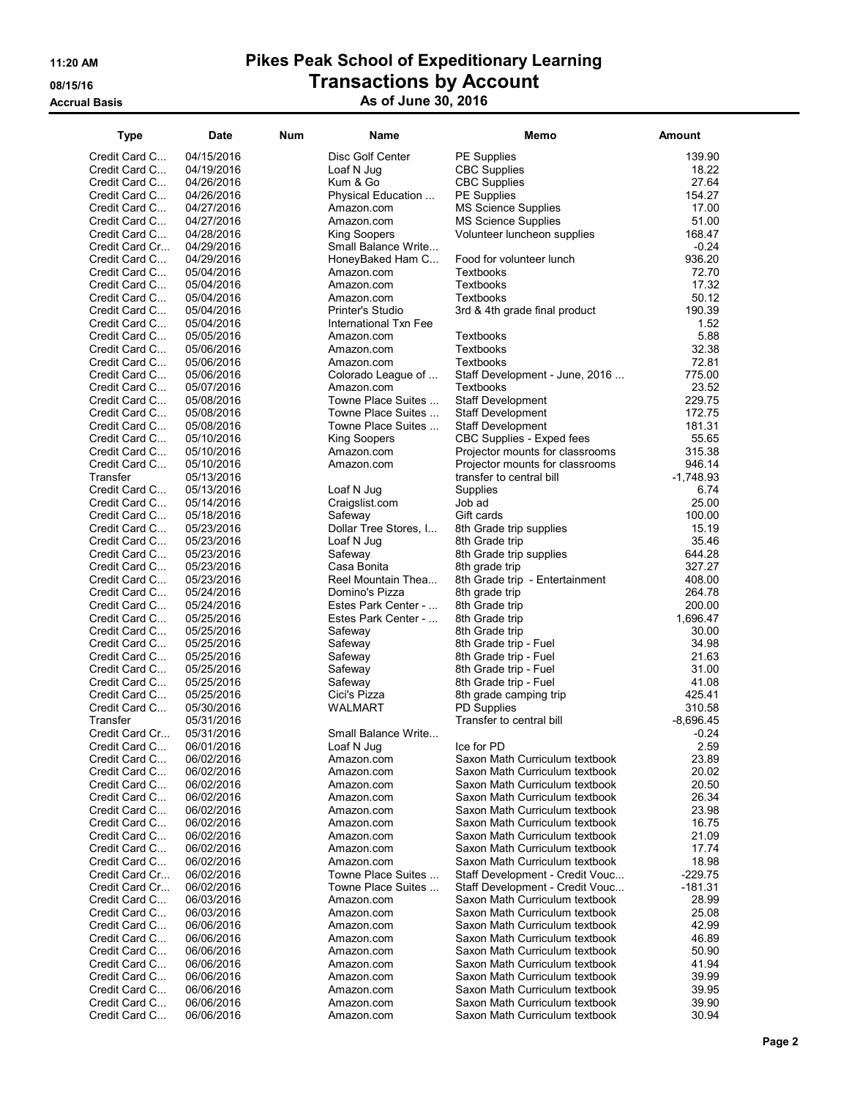## 11:20 AM Pikes Peak School of Expeditionary Learning 08/15/16 COUNTERT DESCRIPTION OF TRANSACTIONS BY ACCOUNT Accrual Basis **Accrual Basis** As of June 30, 2016

| <b>Type</b>                    | <b>Date</b>              | <b>Num</b> | Name                                      | Memo                                                             | Amount              |
|--------------------------------|--------------------------|------------|-------------------------------------------|------------------------------------------------------------------|---------------------|
| Credit Card C                  | 04/15/2016               |            | Disc Golf Center                          | <b>PE Supplies</b>                                               | 139.90              |
| Credit Card C                  | 04/19/2016               |            | Loaf N Jug                                | <b>CBC Supplies</b>                                              | 18.22               |
| Credit Card C                  | 04/26/2016               |            | Kum & Go                                  | <b>CBC</b> Supplies                                              | 27.64               |
| Credit Card C                  | 04/26/2016               |            | Physical Education                        | <b>PE</b> Supplies                                               | 154.27              |
| Credit Card C                  | 04/27/2016               |            | Amazon.com                                | <b>MS Science Supplies</b>                                       | 17.00               |
| Credit Card C                  | 04/27/2016               |            | Amazon.com                                | <b>MS Science Supplies</b>                                       | 51.00               |
| Credit Card C                  | 04/28/2016               |            | King Soopers                              | Volunteer luncheon supplies                                      | 168.47              |
| Credit Card Cr                 | 04/29/2016               |            | Small Balance Write                       |                                                                  | $-0.24$             |
| Credit Card C                  | 04/29/2016               |            | HoneyBaked Ham C                          | Food for volunteer lunch                                         | 936.20              |
| Credit Card C                  | 05/04/2016               |            | Amazon.com                                | <b>Textbooks</b>                                                 | 72.70               |
| Credit Card C                  | 05/04/2016               |            | Amazon.com                                | Textbooks                                                        | 17.32               |
| Credit Card C                  | 05/04/2016               |            | Amazon.com                                | Textbooks                                                        | 50.12<br>190.39     |
| Credit Card C<br>Credit Card C | 05/04/2016<br>05/04/2016 |            | Printer's Studio<br>International Txn Fee | 3rd & 4th grade final product                                    | 1.52                |
| Credit Card C                  | 05/05/2016               |            | Amazon.com                                | Textbooks                                                        | 5.88                |
| Credit Card C                  | 05/06/2016               |            | Amazon.com                                | Textbooks                                                        | 32.38               |
| Credit Card C                  | 05/06/2016               |            | Amazon.com                                | Textbooks                                                        | 72.81               |
| Credit Card C                  | 05/06/2016               |            | Colorado League of                        | Staff Development - June, 2016                                   | 775.00              |
| Credit Card C                  | 05/07/2016               |            | Amazon.com                                | Textbooks                                                        | 23.52               |
| Credit Card C                  | 05/08/2016               |            | Towne Place Suites                        | Staff Development                                                | 229.75              |
| Credit Card C                  | 05/08/2016               |            | Towne Place Suites                        | <b>Staff Development</b>                                         | 172.75              |
| Credit Card C                  | 05/08/2016               |            | Towne Place Suites                        | <b>Staff Development</b>                                         | 181.31              |
| Credit Card C                  | 05/10/2016               |            | King Soopers                              | CBC Supplies - Exped fees                                        | 55.65               |
| Credit Card C                  | 05/10/2016               |            | Amazon.com                                | Projector mounts for classrooms                                  | 315.38              |
| Credit Card C                  | 05/10/2016               |            | Amazon.com                                | Projector mounts for classrooms                                  | 946.14              |
| Transfer                       | 05/13/2016               |            |                                           | transfer to central bill                                         | $-1,748.93$<br>6.74 |
| Credit Card C<br>Credit Card C | 05/13/2016<br>05/14/2016 |            | Loaf N Jug<br>Craigslist.com              | Supplies<br>Job ad                                               | 25.00               |
| Credit Card C                  | 05/18/2016               |            | Safeway                                   | Gift cards                                                       | 100.00              |
| Credit Card C                  | 05/23/2016               |            | Dollar Tree Stores, I                     | 8th Grade trip supplies                                          | 15.19               |
| Credit Card C                  | 05/23/2016               |            | Loaf N Jug                                | 8th Grade trip                                                   | 35.46               |
| Credit Card C                  | 05/23/2016               |            | Safeway                                   | 8th Grade trip supplies                                          | 644.28              |
| Credit Card C                  | 05/23/2016               |            | Casa Bonita                               | 8th grade trip                                                   | 327.27              |
| Credit Card C                  | 05/23/2016               |            | Reel Mountain Thea                        | 8th Grade trip - Entertainment                                   | 408.00              |
| Credit Card C                  | 05/24/2016               |            | Domino's Pizza                            | 8th grade trip                                                   | 264.78              |
| Credit Card C                  | 05/24/2016               |            | Estes Park Center -                       | 8th Grade trip                                                   | 200.00              |
| Credit Card C                  | 05/25/2016               |            | Estes Park Center -                       | 8th Grade trip                                                   | 1,696.47            |
| Credit Card C                  | 05/25/2016               |            | Safeway                                   | 8th Grade trip                                                   | 30.00               |
| Credit Card C                  | 05/25/2016               |            | Safeway                                   | 8th Grade trip - Fuel                                            | 34.98               |
| Credit Card C<br>Credit Card C | 05/25/2016<br>05/25/2016 |            | Safeway<br>Safeway                        | 8th Grade trip - Fuel<br>8th Grade trip - Fuel                   | 21.63<br>31.00      |
| Credit Card C                  | 05/25/2016               |            | Safeway                                   | 8th Grade trip - Fuel                                            | 41.08               |
| Credit Card C                  | 05/25/2016               |            | Cici's Pizza                              | 8th grade camping trip                                           | 425.41              |
| Credit Card C                  | 05/30/2016               |            | WALMART                                   | <b>PD Supplies</b>                                               | 310.58              |
| Transfer                       | 05/31/2016               |            |                                           | Transfer to central bill                                         | -8,696.45           |
| Credit Card Cr                 | 05/31/2016               |            | Small Balance Write                       |                                                                  | $-0.24$             |
| Credit Card C                  | 06/01/2016               |            | Loaf N Jug                                | Ice for PD                                                       | 2.59                |
| Credit Card C                  | 06/02/2016               |            | Amazon.com                                | Saxon Math Curriculum textbook                                   | 23.89               |
| Credit Card C                  | 06/02/2016               |            | Amazon.com                                | Saxon Math Curriculum textbook                                   | 20.02               |
| Credit Card C                  | 06/02/2016               |            | Amazon.com                                | Saxon Math Curriculum textbook                                   | 20.50               |
| Credit Card C                  | 06/02/2016               |            | Amazon.com                                | Saxon Math Curriculum textbook                                   | 26.34               |
| Credit Card C                  | 06/02/2016               |            | Amazon.com                                | Saxon Math Curriculum textbook                                   | 23.98<br>16.75      |
| Credit Card C<br>Credit Card C | 06/02/2016<br>06/02/2016 |            | Amazon.com<br>Amazon.com                  | Saxon Math Curriculum textbook<br>Saxon Math Curriculum textbook | 21.09               |
| Credit Card C                  | 06/02/2016               |            | Amazon.com                                | Saxon Math Curriculum textbook                                   | 17.74               |
| Credit Card C                  | 06/02/2016               |            | Amazon.com                                | Saxon Math Curriculum textbook                                   | 18.98               |
| Credit Card Cr                 | 06/02/2016               |            | Towne Place Suites                        | Staff Development - Credit Vouc                                  | $-229.75$           |
| Credit Card Cr                 | 06/02/2016               |            | Towne Place Suites                        | Staff Development - Credit Vouc                                  | $-181.31$           |
| Credit Card C                  | 06/03/2016               |            | Amazon.com                                | Saxon Math Curriculum textbook                                   | 28.99               |
| Credit Card C                  | 06/03/2016               |            | Amazon.com                                | Saxon Math Curriculum textbook                                   | 25.08               |
| Credit Card C                  | 06/06/2016               |            | Amazon.com                                | Saxon Math Curriculum textbook                                   | 42.99               |
| Credit Card C                  | 06/06/2016               |            | Amazon.com                                | Saxon Math Curriculum textbook                                   | 46.89               |
| Credit Card C                  | 06/06/2016               |            | Amazon.com                                | Saxon Math Curriculum textbook                                   | 50.90               |
| Credit Card C                  | 06/06/2016               |            | Amazon.com                                | Saxon Math Curriculum textbook                                   | 41.94               |
| Credit Card C<br>Credit Card C | 06/06/2016<br>06/06/2016 |            | Amazon.com                                | Saxon Math Curriculum textbook<br>Saxon Math Curriculum textbook | 39.99<br>39.95      |
| Credit Card C                  | 06/06/2016               |            | Amazon.com<br>Amazon.com                  | Saxon Math Curriculum textbook                                   | 39.90               |
| Credit Card C                  | 06/06/2016               |            | Amazon.com                                | Saxon Math Curriculum textbook                                   | 30.94               |
|                                |                          |            |                                           |                                                                  |                     |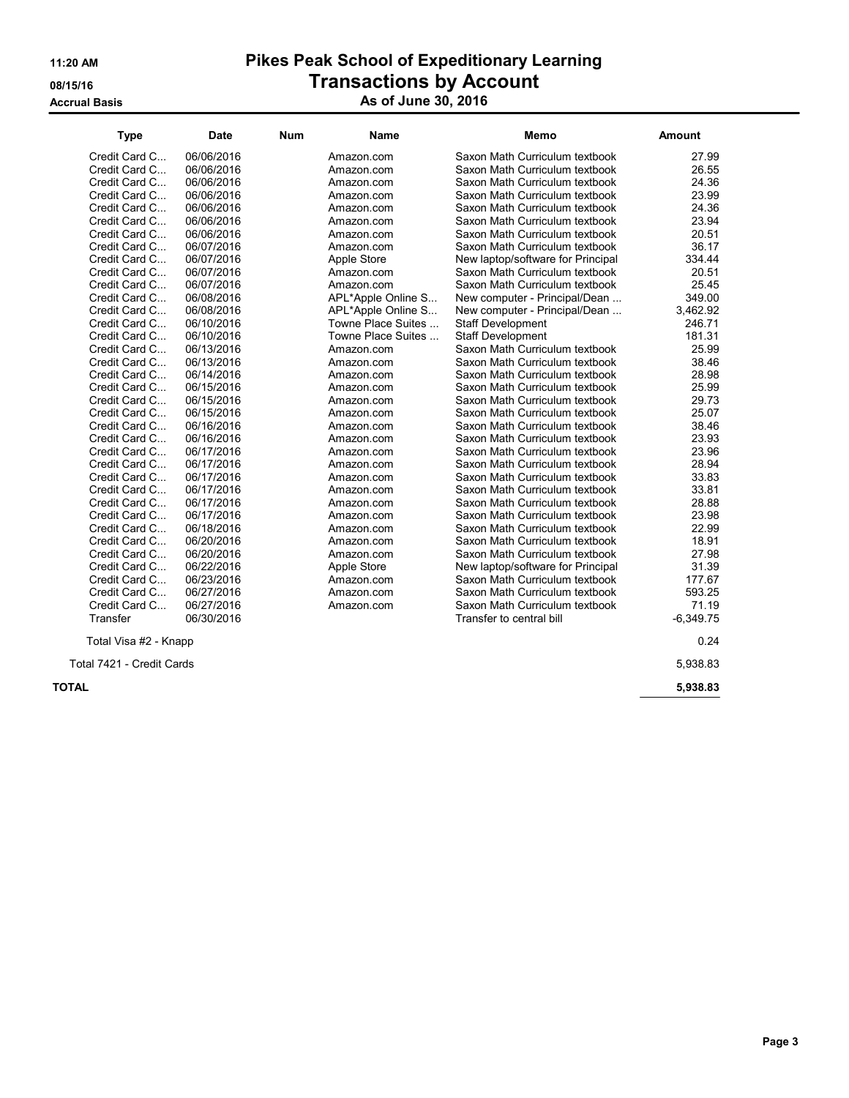**Accrual Basis** 

# 11:20 AM Pikes Peak School of Expeditionary Learning **OB/15/16** OB/15/16 **Transactions by Account**

| As of June 30, 2016 |  |  |  |
|---------------------|--|--|--|
|---------------------|--|--|--|

| <b>Type</b>               | <b>Date</b> | <b>Num</b> | Name               | Memo                              | Amount      |
|---------------------------|-------------|------------|--------------------|-----------------------------------|-------------|
| Credit Card C             | 06/06/2016  |            | Amazon.com         | Saxon Math Curriculum textbook    | 27.99       |
| Credit Card C             | 06/06/2016  |            | Amazon.com         | Saxon Math Curriculum textbook    | 26.55       |
| Credit Card C             | 06/06/2016  |            | Amazon.com         | Saxon Math Curriculum textbook    | 24.36       |
| Credit Card C             | 06/06/2016  |            | Amazon.com         | Saxon Math Curriculum textbook    | 23.99       |
| Credit Card C             | 06/06/2016  |            | Amazon.com         | Saxon Math Curriculum textbook    | 24.36       |
| Credit Card C             | 06/06/2016  |            | Amazon.com         | Saxon Math Curriculum textbook    | 23.94       |
| Credit Card C             | 06/06/2016  |            | Amazon.com         | Saxon Math Curriculum textbook    | 20.51       |
| Credit Card C             | 06/07/2016  |            | Amazon.com         | Saxon Math Curriculum textbook    | 36.17       |
| Credit Card C             | 06/07/2016  |            | Apple Store        | New laptop/software for Principal | 334.44      |
| Credit Card C             | 06/07/2016  |            | Amazon.com         | Saxon Math Curriculum textbook    | 20.51       |
| Credit Card C             | 06/07/2016  |            | Amazon.com         | Saxon Math Curriculum textbook    | 25.45       |
| Credit Card C             | 06/08/2016  |            | APL*Apple Online S | New computer - Principal/Dean     | 349.00      |
| Credit Card C             | 06/08/2016  |            | APL*Apple Online S | New computer - Principal/Dean     | 3,462.92    |
| Credit Card C             | 06/10/2016  |            | Towne Place Suites | <b>Staff Development</b>          | 246.71      |
| Credit Card C             | 06/10/2016  |            | Towne Place Suites | <b>Staff Development</b>          | 181.31      |
| Credit Card C             | 06/13/2016  |            | Amazon.com         | Saxon Math Curriculum textbook    | 25.99       |
| Credit Card C             | 06/13/2016  |            | Amazon.com         | Saxon Math Curriculum textbook    | 38.46       |
| Credit Card C             | 06/14/2016  |            | Amazon.com         | Saxon Math Curriculum textbook    | 28.98       |
| Credit Card C             | 06/15/2016  |            | Amazon.com         | Saxon Math Curriculum textbook    | 25.99       |
| Credit Card C             | 06/15/2016  |            | Amazon.com         | Saxon Math Curriculum textbook    | 29.73       |
| Credit Card C             | 06/15/2016  |            | Amazon.com         | Saxon Math Curriculum textbook    | 25.07       |
| Credit Card C             | 06/16/2016  |            | Amazon.com         | Saxon Math Curriculum textbook    | 38.46       |
| Credit Card C             | 06/16/2016  |            | Amazon.com         | Saxon Math Curriculum textbook    | 23.93       |
| Credit Card C             | 06/17/2016  |            | Amazon.com         | Saxon Math Curriculum textbook    | 23.96       |
| Credit Card C             | 06/17/2016  |            | Amazon.com         | Saxon Math Curriculum textbook    | 28.94       |
| Credit Card C             | 06/17/2016  |            | Amazon.com         | Saxon Math Curriculum textbook    | 33.83       |
| Credit Card C             | 06/17/2016  |            | Amazon.com         | Saxon Math Curriculum textbook    | 33.81       |
| Credit Card C             | 06/17/2016  |            | Amazon.com         | Saxon Math Curriculum textbook    | 28.88       |
| Credit Card C             | 06/17/2016  |            | Amazon.com         | Saxon Math Curriculum textbook    | 23.98       |
| Credit Card C             | 06/18/2016  |            | Amazon.com         | Saxon Math Curriculum textbook    | 22.99       |
| Credit Card C             | 06/20/2016  |            | Amazon.com         | Saxon Math Curriculum textbook    | 18.91       |
| Credit Card C             | 06/20/2016  |            | Amazon.com         | Saxon Math Curriculum textbook    | 27.98       |
| Credit Card C             | 06/22/2016  |            | Apple Store        | New laptop/software for Principal | 31.39       |
| Credit Card C             | 06/23/2016  |            | Amazon.com         | Saxon Math Curriculum textbook    | 177.67      |
| Credit Card C             | 06/27/2016  |            | Amazon.com         | Saxon Math Curriculum textbook    | 593.25      |
| Credit Card C             | 06/27/2016  |            | Amazon.com         | Saxon Math Curriculum textbook    | 71.19       |
| Transfer                  | 06/30/2016  |            |                    | Transfer to central bill          | $-6,349.75$ |
| Total Visa #2 - Knapp     |             |            |                    |                                   | 0.24        |
| Total 7421 - Credit Cards |             |            |                    |                                   | 5.938.83    |

 $\sf{TOTAL}$  5,938.83  $\sf{5,938.83}$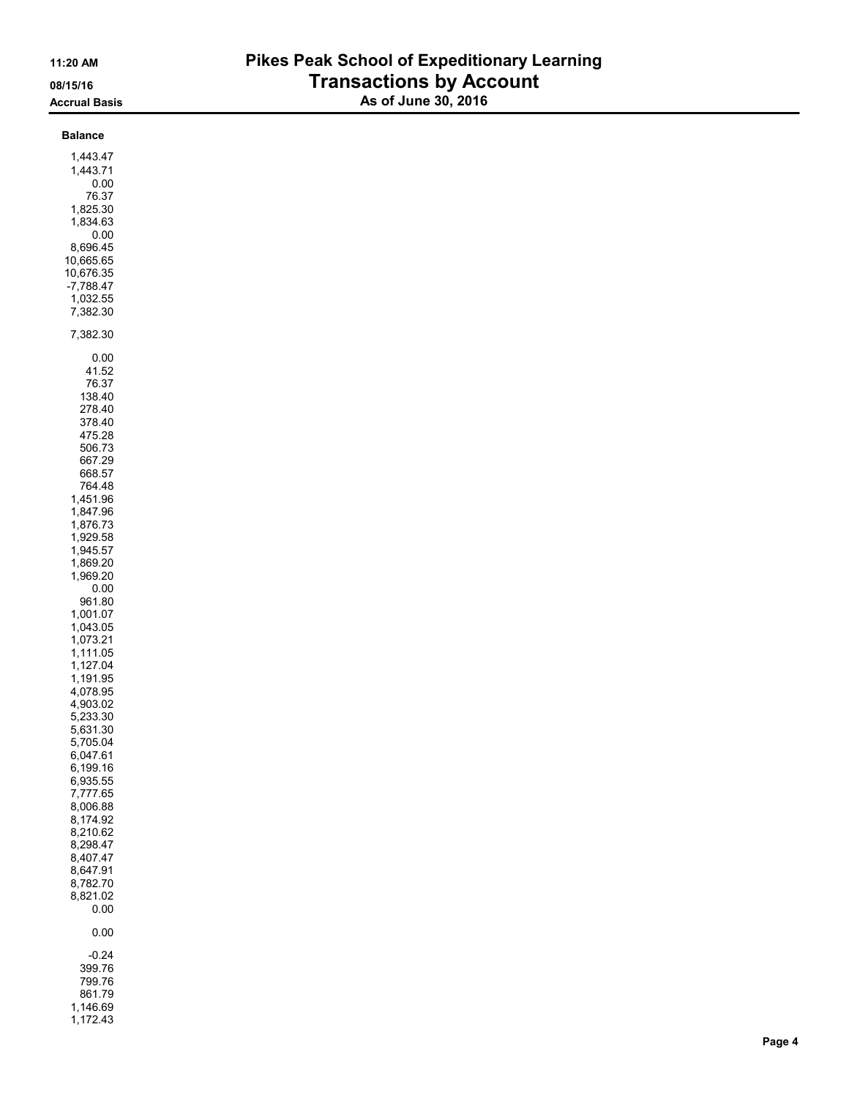## 11:20 AM Pikes Peak School of Expeditionary Learning 08/15/16 **Transactions by Account** Accrual Basis Associated Associates Associates Associates Associates Associates Associates Associates Associat

| <b>Balance</b>       |  |  |
|----------------------|--|--|
| 1,443.47             |  |  |
| 1,443.71             |  |  |
| 0.00                 |  |  |
| 76.37                |  |  |
| 1,825.30             |  |  |
| 1,834.63             |  |  |
| 0.00<br>8,696.45     |  |  |
| 10,665.65            |  |  |
| 10,676.35            |  |  |
| $-7,788.47$          |  |  |
| 1,032.55             |  |  |
| 7,382.30             |  |  |
| 7,382.30             |  |  |
|                      |  |  |
| $0.00\,$             |  |  |
| 41.52<br>76.37       |  |  |
| 138.40               |  |  |
| 278.40               |  |  |
| 378.40               |  |  |
| 475.28               |  |  |
| 506.73               |  |  |
| 667.29               |  |  |
| 668.57               |  |  |
| 764.48<br>1,451.96   |  |  |
| 1,847.96             |  |  |
| 1,876.73             |  |  |
| 1,929.58             |  |  |
| 1,945.57             |  |  |
| 1,869.20             |  |  |
| 1,969.20             |  |  |
| $0.00\,$<br>961.80   |  |  |
| 1,001.07             |  |  |
| 1,043.05             |  |  |
| 1,073.21             |  |  |
| 1,111.05             |  |  |
| 1,127.04             |  |  |
| 1,191.95             |  |  |
| 4,078.95<br>4,903.02 |  |  |
| 5,233.30             |  |  |
| 5,631.30             |  |  |
| 5,705.04             |  |  |
| 6,047.61             |  |  |
| 6,199.16             |  |  |
| 6,935.55<br>7,777.65 |  |  |
| 8,006.88             |  |  |
| 8,174.92             |  |  |
| 8,210.62             |  |  |
| 8,298.47             |  |  |
| 8,407.47             |  |  |
| 8,647.91             |  |  |
| 8,782.70<br>8,821.02 |  |  |
| $0.00\,$             |  |  |
| $0.00\,$             |  |  |
|                      |  |  |
| $-0.24$<br>399.76    |  |  |
| 799.76               |  |  |
| 861.79               |  |  |
| 1,146.69             |  |  |
| 1,172.43             |  |  |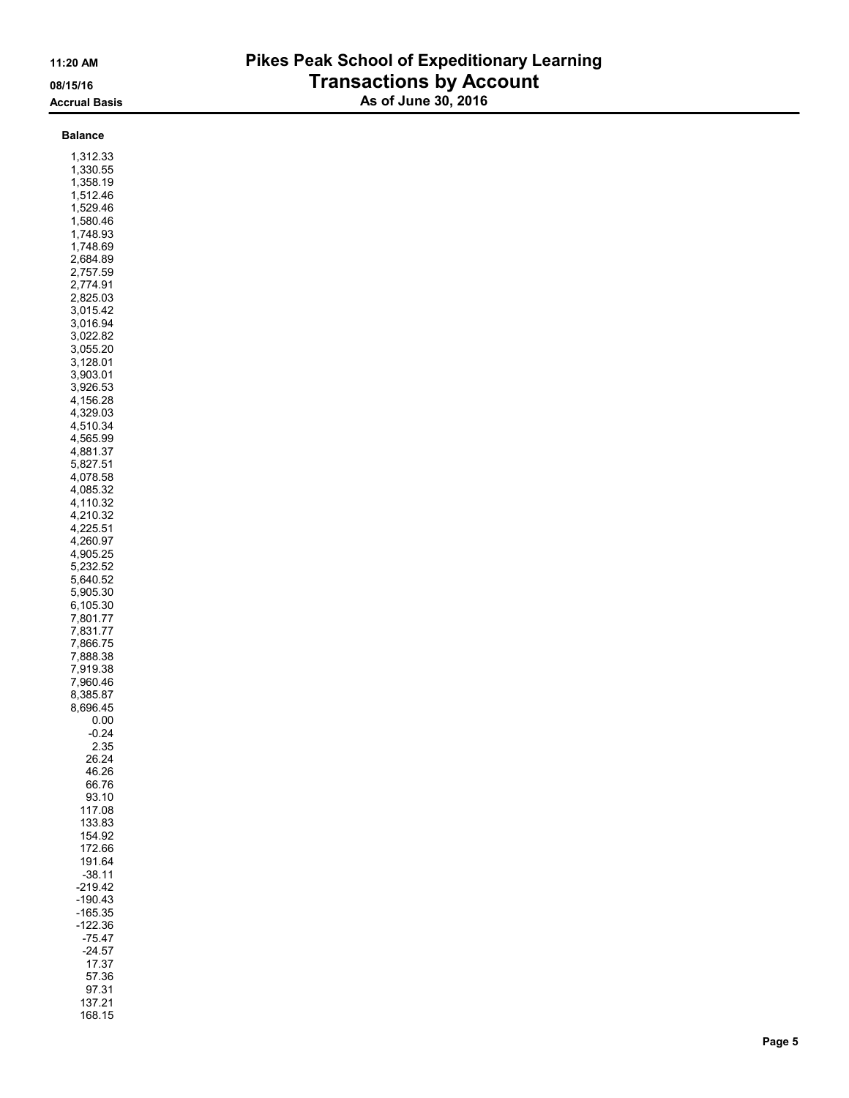## 11:20 AM Pikes Peak School of Expeditionary Learning 08/15/16 **Transactions by Account** Accrual Basis **As of June 30, 2016**

| Balance  |  |
|----------|--|
| 1,312.33 |  |

1,330.55

168.15